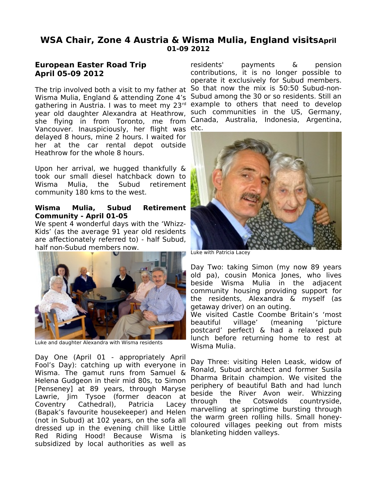# **WSA Chair, Zone 4 Austria & Wisma Mulia, England visitsApril 01-09 2012**

## **European Easter Road Trip April 05-09 2012**

The trip involved both a visit to my father at So that now the mix is 50:50 Subud-non-Wisma Mulia, England & attending Zone 4's Subud among the 30 or so residents. Still an gathering in Austria. I was to meet my 23rd example to others that need to develop year old daughter Alexandra at Heathrow, she flying in from Toronto, me from Canada, Australia, Indonesia, Argentina, Vancouver. Inauspiciously, her flight was etc. delayed 8 hours, mine 2 hours. I waited for her at the car rental depot outside Heathrow for the whole 8 hours.

Upon her arrival, we hugged thankfully & took our small diesel hatchback down to Wisma Mulia, the Subud retirement community 180 kms to the west.

### **Wisma Mulia, Subud Retirement Community - April 01-05**

We spent 4 wonderful days with the 'Whizz-Kids' (as the average 91 year old residents are affectionately referred to) - half Subud, half non-Subud members now.



Luke and daughter Alexandra with Wisma residents

Day One (April 01 - appropriately April Fool's Day): catching up with everyone in Wisma. The gamut runs from Samuel & Helena Gudgeon in their mid 80s, to Simon [Penseney] at 89 years, through Maryse Lawrie, Jim Tysoe (former deacon at Coventry Cathedral), Patricia Lacey (Bapak's favourite housekeeper) and Helen (not in Subud) at 102 years, on the sofa all dressed up in the evening chill like Little Red Riding Hood! Because Wisma is subsidized by local authorities as well as

residents' payments & pension contributions, it is no longer possible to operate it exclusively for Subud members. such communities in the US, Germany,



Luke with Patricia Lacey

Day Two: taking Simon (my now 89 years old pa), cousin Monica Jones, who lives beside Wisma Mulia in the adjacent community housing providing support for the residents, Alexandra & myself (as getaway driver) on an outing.

We visited Castle Coombe Britain's 'most beautiful village' (meaning 'picture postcard' perfect) & had a relaxed pub lunch before returning home to rest at Wisma Mulia.

Day Three: visiting Helen Leask, widow of Ronald, Subud architect and former Susila Dharma Britain champion. We visited the periphery of beautiful Bath and had lunch beside the River Avon weir. Whizzing through the Cotswolds countryside, marvelling at springtime bursting through the warm green rolling hills. Small honeycoloured villages peeking out from mists blanketing hidden valleys.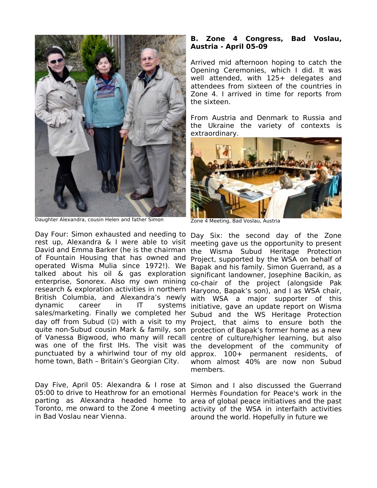

Daughter Alexandra, cousin Helen and father Simon

Day Four: Simon exhausted and needing to Day Six: the second day of the Zone rest up, Alexandra & I were able to visit meeting gave us the opportunity to present David and Emma Barker (he is the chairman the Wisma Subud Heritage Protection of Fountain Housing that has owned and Project, supported by the WSA on behalf of operated Wisma Mulia since 1972!). We Bapak and his family. Simon Guerrand, as a talked about his oil & gas exploration significant landowner, Josephine Bacikin, as enterprise, Sonorex. Also my own mining co-chair of the project (alongside Pak research & exploration activities in northern Haryono, Bapak's son), and I as WSA chair, British Columbia, and Alexandra's newly with WSA a major supporter of this dynamic career in IT systems initiative, gave an update report on Wisma sales/marketing. Finally we completed her Subud and the WS Heritage Protection day off from Subud (©) with a visit to my Project, that aims to ensure both the quite non-Subud cousin Mark & family, son protection of Bapak's former home as a new of Vanessa Bigwood, who many will recall centre of culture/higher learning, but also was one of the first IHs. The visit was the development of the community of punctuated by a whirlwind tour of my old approx. 100+ permanent residents, of home town, Bath – Britain's Georgian City.

Day Five, April 05: Alexandra & I rose at Simon and I also discussed the Guerrand 05:00 to drive to Heathrow for an emotional Hermès Foundation for Peace's work in the parting as Alexandra headed home to area of global peace initiatives and the past Toronto, me onward to the Zone 4 meeting activity of the WSA in interfaith activities in Bad Voslau near Vienna.

#### **B. Zone 4 Congress, Bad Voslau, Austria - April 05-09**

Arrived mid afternoon hoping to catch the Opening Ceremonies, which I did. It was well attended, with 125+ delegates and attendees from sixteen of the countries in Zone 4. I arrived in time for reports from the sixteen.

From Austria and Denmark to Russia and the Ukraine the variety of contexts is extraordinary.



Zone 4 Meeting, Bad Voslau, Austria

whom almost 40% are now non Subud members.

around the world. Hopefully in future we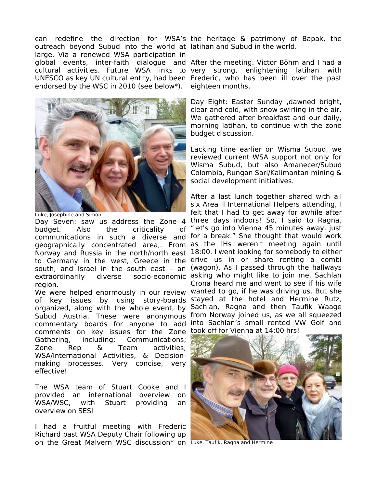can redefine the direction for WSA's the heritage & patrimony of Bapak, the outreach beyond Subud into the world at latihan and Subud in the world. large. Via a renewed WSA participation in global events, inter-faith dialogue and After the meeting. Victor Böhm and I had a cultural activities. Future WSA links to very strong, enlightening latihan with UNESCO as key UN cultural entity, had been Frederic, who has been ill over the past endorsed by the WSC in 2010 (see below\*).



Luke, Josephine and Simon

budget. Also the criticality of communications in such a diverse and for a break." She thought that would work geographically concentrated area,. From as the IHs weren't meeting again until Norway and Russia in the north/north east 18:00. I went looking for somebody to either to Germany in the west, Greece in the drive us in or share renting a combi south, and Israel in the south east – an (wagon). As I passed through the hallways extraordinarily diverse socio-economic asking who might like to join me, Sachlan region.

of key issues by using story-boards stayed at the hotel and Hermine Rutz, organized, along with the whole event, by Sachlan, Ragna and then Taufik Waage Subud Austria. These were anonymous from Norway joined us, as we all squeezed commentary boards for anyone to add into Sachlan's small rented VW Golf and comments on key issues for the Zone took off for Vienna at 14:00 hrs! Gathering, including: Communications; Zone Rep & Team activities; WSA/International Activities, & Decisionmaking processes. Very concise, very effective!

The WSA team of Stuart Cooke and I provided an international overview on WSA/WSC, with Stuart providing an overview on SESI

I had a fruitful meeting with Frederic Richard past WSA Deputy Chair following up on the Great Malvern WSC discussion\* on Luke, Taufik, Ragna and Hermine

eighteen months.

Day Eight: Easter Sunday ,dawned bright, clear and cold, with snow swirling in the air. We gathered after breakfast and our daily, morning latihan, to continue with the zone budget discussion.

Lacking time earlier on Wisma Subud, we reviewed current WSA support not only for Wisma Subud, but also Amanecer/Subud Colombia, Rungan Sari/Kalimantan mining & social development initiatives.

Day Seven: saw us address the Zone 4 three days indoors! So, I said to Ragna, We were helped enormously in our review wanted to go, if he was driving us. But she After a last lunch together shared with all six Area II International Helpers attending, I felt that I had to get away for awhile after of "let's go into Vienna 45 minutes away, just Crona heard me and went to see if his wife